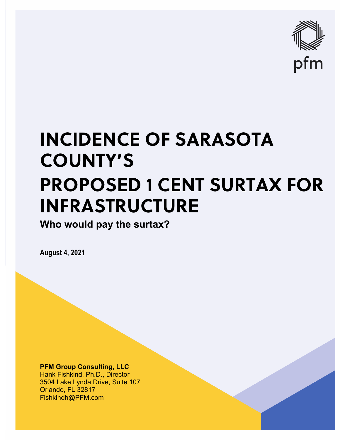

# **INCIDENCE OF SARASOTA COUNTY'S PROPOSED 1 CENT SURTAX FOR INFRASTRUCTURE**

**Who would pay the surtax?**

**August 4, 2021**

**PFM Group Consulting, LLC** Hank Fishkind, Ph.D., Director 3504 Lake Lynda Drive, Suite 107 Orlando, FL 32817 Fishkindh@PFM.com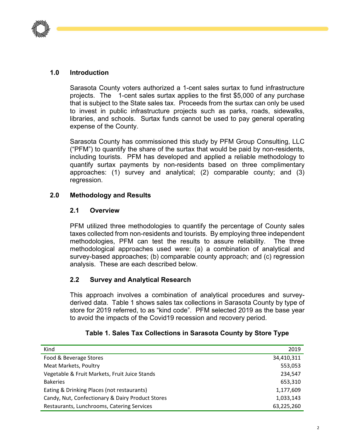

## **1.0 Introduction**

Sarasota County voters authorized a 1-cent sales surtax to fund infrastructure projects. The 1-cent sales surtax applies to the first \$5,000 of any purchase that is subject to the State sales tax. Proceeds from the surtax can only be used to invest in public infrastructure projects such as parks, roads, sidewalks, libraries, and schools. Surtax funds cannot be used to pay general operating expense of the County.

Sarasota County has commissioned this study by PFM Group Consulting, LLC ("PFM") to quantify the share of the surtax that would be paid by non-residents, including tourists. PFM has developed and applied a reliable methodology to quantify surtax payments by non-residents based on three complimentary approaches: (1) survey and analytical; (2) comparable county; and (3) regression.

#### **2.0 Methodology and Results**

#### **2.1 Overview**

PFM utilized three methodologies to quantify the percentage of County sales taxes collected from non-residents and tourists. By employing three independent methodologies, PFM can test the results to assure reliability. The three methodological approaches used were: (a) a combination of analytical and survey-based approaches; (b) comparable county approach; and (c) regression analysis. These are each described below.

# **2.2 Survey and Analytical Research**

This approach involves a combination of analytical procedures and surveyderived data. Table 1 shows sales tax collections in Sarasota County by type of store for 2019 referred, to as "kind code". PFM selected 2019 as the base year to avoid the impacts of the Covid19 recession and recovery period.

| Kind                                             | 2019       |
|--------------------------------------------------|------------|
| Food & Beverage Stores                           | 34,410,311 |
| <b>Meat Markets, Poultry</b>                     | 553,053    |
| Vegetable & Fruit Markets, Fruit Juice Stands    | 234,547    |
| <b>Bakeries</b>                                  | 653,310    |
| Eating & Drinking Places (not restaurants)       | 1,177,609  |
| Candy, Nut, Confectionary & Dairy Product Stores | 1,033,143  |
| Restaurants, Lunchrooms, Catering Services       | 63,225,260 |

#### **Table 1. Sales Tax Collections in Sarasota County by Store Type**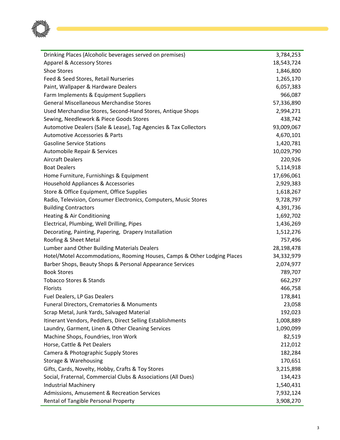

| Drinking Places (Alcoholic beverages served on premises)                 | 3,784,253  |
|--------------------------------------------------------------------------|------------|
| Apparel & Accessory Stores                                               | 18,543,724 |
| Shoe Stores                                                              | 1,846,800  |
| Feed & Seed Stores, Retail Nurseries                                     | 1,265,170  |
| Paint, Wallpaper & Hardware Dealers                                      | 6,057,383  |
| Farm Implements & Equipment Suppliers                                    | 966,087    |
| <b>General Miscellaneous Merchandise Stores</b>                          | 57,336,890 |
| Used Merchandise Stores, Second-Hand Stores, Antique Shops               | 2,994,271  |
| Sewing, Needlework & Piece Goods Stores                                  | 438,742    |
| Automotive Dealers (Sale & Lease), Tag Agencies & Tax Collectors         | 93,009,067 |
| <b>Automotive Accessories &amp; Parts</b>                                | 4,670,101  |
| <b>Gasoline Service Stations</b>                                         | 1,420,781  |
| Automobile Repair & Services                                             | 10,029,790 |
| <b>Aircraft Dealers</b>                                                  | 220,926    |
| <b>Boat Dealers</b>                                                      | 5,114,918  |
| Home Furniture, Furnishings & Equipment                                  | 17,696,061 |
| Household Appliances & Accessories                                       | 2,929,383  |
| Store & Office Equipment, Office Supplies                                | 1,618,267  |
| Radio, Television, Consumer Electronics, Computers, Music Stores         | 9,728,797  |
| <b>Building Contractors</b>                                              | 4,391,736  |
| Heating & Air Conditioning                                               | 1,692,702  |
| Electrical, Plumbing, Well Drilling, Pipes                               | 1,436,269  |
| Decorating, Painting, Papering, Drapery Installation                     | 1,512,276  |
| Roofing & Sheet Metal                                                    | 757,496    |
| Lumber aand Other Building Materials Dealers                             | 28,198,478 |
| Hotel/Motel Accommodations, Rooming Houses, Camps & Other Lodging Places | 34,332,979 |
| Barber Shops, Beauty Shops & Personal Appearance Services                | 2,074,977  |
| <b>Book Stores</b>                                                       | 789,707    |
| <b>Tobacco Stores &amp; Stands</b>                                       | 662,297    |
| Florists                                                                 | 466,758    |
| Fuel Dealers, LP Gas Dealers                                             | 178,841    |
| <b>Funeral Directors, Crematories &amp; Monuments</b>                    | 23,058     |
| Scrap Metal, Junk Yards, Salvaged Material                               | 192,023    |
| Itinerant Vendors, Peddlers, Direct Selling Establishments               | 1,008,889  |
| Laundry, Garment, Linen & Other Cleaning Services                        | 1,090,099  |
| Machine Shops, Foundries, Iron Work                                      | 82,519     |
| Horse, Cattle & Pet Dealers                                              | 212,012    |
| Camera & Photographic Supply Stores                                      | 182,284    |
| Storage & Warehousing                                                    | 170,651    |
| Gifts, Cards, Novelty, Hobby, Crafts & Toy Stores                        | 3,215,898  |
| Social, Fraternal, Commercial Clubs & Associations (All Dues)            | 134,423    |
| <b>Industrial Machinery</b>                                              | 1,540,431  |
| Admissions, Amusement & Recreation Services                              | 7,932,124  |
| Rental of Tangible Personal Property                                     | 3,908,270  |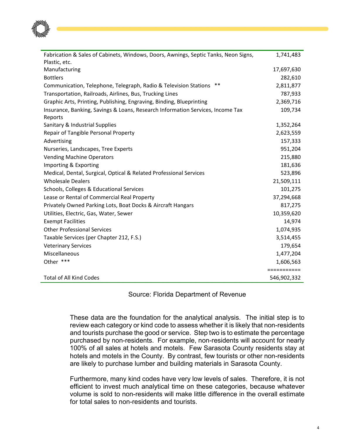

| Fabrication & Sales of Cabinets, Windows, Doors, Awnings, Septic Tanks, Neon Signs, | 1,741,483   |
|-------------------------------------------------------------------------------------|-------------|
| Plastic, etc.                                                                       |             |
| Manufacturing                                                                       | 17,697,630  |
| <b>Bottlers</b>                                                                     | 282,610     |
| $***$<br>Communication, Telephone, Telegraph, Radio & Television Stations           | 2,811,877   |
| Transportation, Railroads, Airlines, Bus, Trucking Lines                            | 787,933     |
| Graphic Arts, Printing, Publishing, Engraving, Binding, Blueprinting                | 2,369,716   |
| Insurance, Banking, Savings & Loans, Research Information Services, Income Tax      | 109,734     |
| Reports                                                                             |             |
| Sanitary & Industrial Supplies                                                      | 1,352,264   |
| Repair of Tangible Personal Property                                                | 2,623,559   |
| Advertising                                                                         | 157,333     |
| Nurseries, Landscapes, Tree Experts                                                 | 951,204     |
| <b>Vending Machine Operators</b>                                                    | 215,880     |
| Importing & Exporting                                                               | 181,636     |
| Medical, Dental, Surgical, Optical & Related Professional Services                  | 523,896     |
| <b>Wholesale Dealers</b>                                                            | 21,509,111  |
| Schools, Colleges & Educational Services                                            | 101,275     |
| Lease or Rental of Commercial Real Property                                         | 37,294,668  |
| Privately Owned Parking Lots, Boat Docks & Aircraft Hangars                         | 817,275     |
| Utilities, Electric, Gas, Water, Sewer                                              | 10,359,620  |
| <b>Exempt Facilities</b>                                                            | 14,974      |
| <b>Other Professional Services</b>                                                  | 1,074,935   |
| Taxable Services (per Chapter 212, F.S.)                                            | 3,514,455   |
| <b>Veterinary Services</b>                                                          | 179,654     |
| Miscellaneous                                                                       | 1,477,204   |
| Other ***                                                                           | 1,606,563   |
|                                                                                     | =========== |
| <b>Total of All Kind Codes</b>                                                      | 546,902,332 |

Source: Florida Department of Revenue

These data are the foundation for the analytical analysis. The initial step is to review each category or kind code to assess whether it is likely that non-residents and tourists purchase the good or service. Step two is to estimate the percentage purchased by non-residents. For example, non-residents will account for nearly 100% of all sales at hotels and motels. Few Sarasota County residents stay at hotels and motels in the County. By contrast, few tourists or other non-residents are likely to purchase lumber and building materials in Sarasota County.

Furthermore, many kind codes have very low levels of sales. Therefore, it is not efficient to invest much analytical time on these categories, because whatever volume is sold to non-residents will make little difference in the overall estimate for total sales to non-residents and tourists.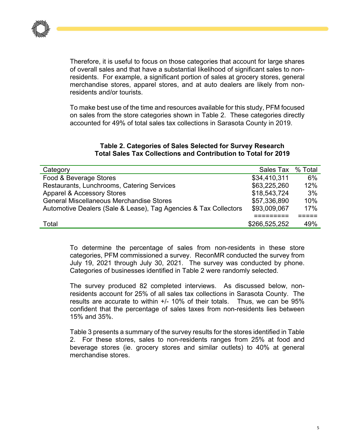

Therefore, it is useful to focus on those categories that account for large shares of overall sales and that have a substantial likelihood of significant sales to nonresidents. For example, a significant portion of sales at grocery stores, general merchandise stores, apparel stores, and at auto dealers are likely from nonresidents and/or tourists.

To make best use of the time and resources available for this study, PFM focused on sales from the store categories shown in Table 2. These categories directly accounted for 49% of total sales tax collections in Sarasota County in 2019.

#### **Table 2. Categories of Sales Selected for Survey Research Total Sales Tax Collections and Contribution to Total for 2019**

| Category                                                         | Sales Tax % Total |     |
|------------------------------------------------------------------|-------------------|-----|
| Food & Beverage Stores                                           | \$34,410,311      | 6%  |
| Restaurants, Lunchrooms, Catering Services                       | \$63,225,260      | 12% |
| <b>Apparel &amp; Accessory Stores</b>                            | \$18,543,724      | 3%  |
| <b>General Miscellaneous Merchandise Stores</b>                  | \$57,336,890      | 10% |
| Automotive Dealers (Sale & Lease), Tag Agencies & Tax Collectors | \$93,009,067      | 17% |
|                                                                  |                   |     |
| Total                                                            | \$266,525,252     | 49% |

To determine the percentage of sales from non-residents in these store categories, PFM commissioned a survey. ReconMR conducted the survey from July 19, 2021 through July 30, 2021. The survey was conducted by phone. Categories of businesses identified in Table 2 were randomly selected.

The survey produced 82 completed interviews. As discussed below, nonresidents account for 25% of all sales tax collections in Sarasota County. The results are accurate to within +/- 10% of their totals. Thus, we can be 95% confident that the percentage of sales taxes from non-residents lies between 15% and 35%.

Table 3 presents a summary of the survey results for the stores identified in Table 2. For these stores, sales to non-residents ranges from 25% at food and beverage stores (ie. grocery stores and similar outlets) to 40% at general merchandise stores.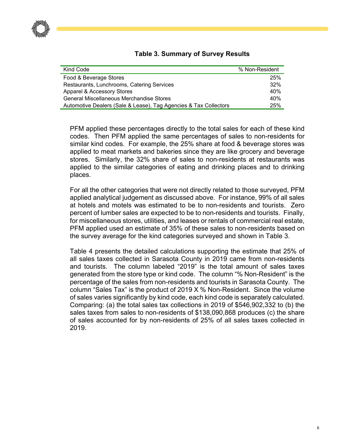

| Kind Code                                                        | % Non-Resident |
|------------------------------------------------------------------|----------------|
| Food & Beverage Stores                                           | 25%            |
| Restaurants, Lunchrooms, Catering Services                       | 32%            |
| Apparel & Accessory Stores                                       | 40%            |
| <b>General Miscellaneous Merchandise Stores</b>                  | 40%            |
| Automotive Dealers (Sale & Lease), Tag Agencies & Tax Collectors | 25%            |

#### **Table 3. Summary of Survey Results**

PFM applied these percentages directly to the total sales for each of these kind codes. Then PFM applied the same percentages of sales to non-residents for similar kind codes. For example, the 25% share at food & beverage stores was applied to meat markets and bakeries since they are like grocery and beverage stores. Similarly, the 32% share of sales to non-residents at restaurants was applied to the similar categories of eating and drinking places and to drinking places.

For all the other categories that were not directly related to those surveyed, PFM applied analytical judgement as discussed above. For instance, 99% of all sales at hotels and motels was estimated to be to non-residents and tourists. Zero percent of lumber sales are expected to be to non-residents and tourists. Finally, for miscellaneous stores, utilities, and leases or rentals of commercial real estate, PFM applied used an estimate of 35% of these sales to non-residents based on the survey average for the kind categories surveyed and shown in Table 3.

Table 4 presents the detailed calculations supporting the estimate that 25% of all sales taxes collected in Sarasota County in 2019 came from non-residents and tourists. The column labeled "2019" is the total amount of sales taxes generated from the store type or kind code. The column "% Non-Resident" is the percentage of the sales from non-residents and tourists in Sarasota County. The column "Sales Tax" is the product of 2019 X % Non-Resident. Since the volume of sales varies significantly by kind code, each kind code is separately calculated. Comparing: (a) the total sales tax collections in 2019 of \$546,902,332 to (b) the sales taxes from sales to non-residents of \$138,090,868 produces (c) the share of sales accounted for by non-residents of 25% of all sales taxes collected in 2019.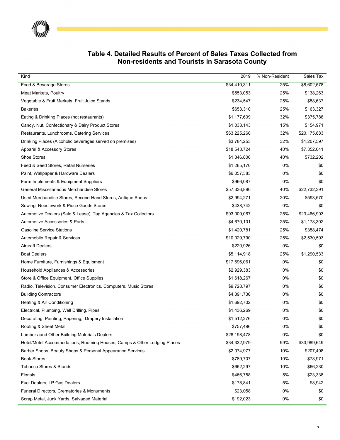| Kind                                                                     | 2019         | % Non-Resident | Sales Tax    |
|--------------------------------------------------------------------------|--------------|----------------|--------------|
| Food & Beverage Stores                                                   | \$34,410,311 | 25%            | \$8,602,578  |
| Meat Markets, Poultry                                                    | \$553,053    | 25%            | \$138,263    |
| Vegetable & Fruit Markets, Fruit Juice Stands                            | \$234,547    | 25%            | \$58,637     |
| <b>Bakeries</b>                                                          | \$653,310    | 25%            | \$163,327    |
| Eating & Drinking Places (not restaurants)                               | \$1,177,609  | 32%            | \$375,788    |
| Candy, Nut, Confectionary & Dairy Product Stores                         | \$1,033,143  | 15%            | \$154,971    |
| Restaurants, Lunchrooms, Catering Services                               | \$63,225,260 | 32%            | \$20,175,883 |
| Drinking Places (Alcoholic beverages served on premises)                 | \$3,784,253  | 32%            | \$1,207,597  |
| Apparel & Accessory Stores                                               | \$18,543,724 | 40%            | \$7,352,041  |
| <b>Shoe Stores</b>                                                       | \$1,846,800  | 40%            | \$732,202    |
| Feed & Seed Stores, Retail Nurseries                                     | \$1,265,170  | 0%             | \$0          |
| Paint, Wallpaper & Hardware Dealers                                      | \$6,057,383  | 0%             | \$0          |
| Farm Implements & Equipment Suppliers                                    | \$966,087    | 0%             | \$0          |
| General Miscellaneous Merchandise Stores                                 | \$57,336,890 | 40%            | \$22,732,391 |
| Used Merchandise Stores, Second-Hand Stores, Antique Shops               | \$2,994,271  | 20%            | \$593,570    |
| Sewing, Needlework & Piece Goods Stores                                  | \$438,742    | 0%             | \$0          |
| Automotive Dealers (Sale & Lease), Tag Agencies & Tax Collectors         | \$93,009,067 | 25%            | \$23,466,903 |
| Automotive Accessories & Parts                                           | \$4,670,101  | 25%            | \$1,178,302  |
| <b>Gasoline Service Stations</b>                                         | \$1,420,781  | 25%            | \$358,474    |
| Automobile Repair & Services                                             | \$10,029,790 | 25%            | \$2,530,593  |
| <b>Aircraft Dealers</b>                                                  | \$220,926    | 0%             | \$0          |
| <b>Boat Dealers</b>                                                      | \$5,114,918  | 25%            | \$1,290,533  |
| Home Furniture, Furnishings & Equipment                                  | \$17,696,061 | 0%             | \$0          |
| Household Appliances & Accessories                                       | \$2,929,383  | 0%             | \$0          |
| Store & Office Equipment, Office Supplies                                | \$1,618,267  | 0%             | \$0          |
| Radio, Television, Consumer Electronics, Computers, Music Stores         | \$9,728,797  | 0%             | \$0          |
| <b>Building Contractors</b>                                              | \$4,391,736  | 0%             | \$0          |
| Heating & Air Conditioning                                               | \$1,692,702  | 0%             | \$0          |
| Electrical, Plumbing, Well Drilling, Pipes                               | \$1,436,269  | 0%             | \$0          |
| Decorating, Painting, Papering, Drapery Installation                     | \$1,512,276  | 0%             | \$0          |
| Roofing & Sheet Metal                                                    | \$757,496    | 0%             | \$0          |
| Lumber aand Other Building Materials Dealers                             | \$28,198,478 | 0%             | \$0          |
| Hotel/Motel Accommodations, Rooming Houses, Camps & Other Lodging Places | \$34,332,979 | 99%            | \$33,989,649 |
| Barber Shops, Beauty Shops & Personal Appearance Services                | \$2,074,977  | 10%            | \$207,498    |
| <b>Book Stores</b>                                                       | \$789,707    | 10%            | \$78,971     |
| <b>Tobacco Stores &amp; Stands</b>                                       | \$662,297    | 10%            | \$66,230     |
| <b>Florists</b>                                                          | \$466,758    | 5%             | \$23,338     |
| Fuel Dealers, LP Gas Dealers                                             | \$178,841    | 5%             | \$8,942      |
| Funeral Directors, Crematories & Monuments                               | \$23,058     | 0%             | \$0          |
| Scrap Metal, Junk Yards, Salvaged Material                               | \$192,023    | 0%             | \$0          |

#### **Table 4. Detailed Results of Percent of Sales Taxes Collected from Non-residents and Tourists in Sarasota County**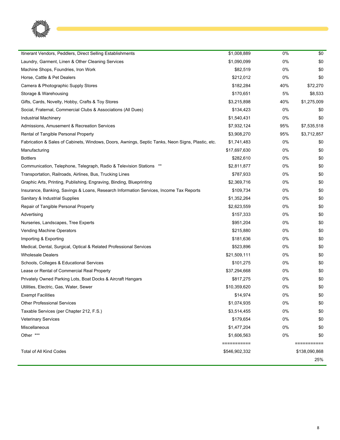

| Itinerant Vendors, Peddlers, Direct Selling Establishments                                        | \$1,008,889   | 0%  | \$0           |
|---------------------------------------------------------------------------------------------------|---------------|-----|---------------|
| Laundry, Garment, Linen & Other Cleaning Services                                                 | \$1,090,099   | 0%  | \$0           |
| Machine Shops, Foundries, Iron Work                                                               | \$82,519      | 0%  | \$0           |
| Horse, Cattle & Pet Dealers                                                                       | \$212,012     | 0%  | \$0           |
| Camera & Photographic Supply Stores                                                               | \$182,284     | 40% | \$72,270      |
| Storage & Warehousing                                                                             | \$170,651     | 5%  | \$8,533       |
| Gifts, Cards, Novelty, Hobby, Crafts & Toy Stores                                                 | \$3,215,898   | 40% | \$1,275,009   |
| Social, Fraternal, Commercial Clubs & Associations (All Dues)                                     | \$134,423     | 0%  | \$0           |
| <b>Industrial Machinery</b>                                                                       | \$1,540,431   | 0%  | \$0           |
| Admissions, Amusement & Recreation Services                                                       | \$7,932,124   | 95% | \$7,535,518   |
| Rental of Tangible Personal Property                                                              | \$3,908,270   | 95% | \$3,712,857   |
| Fabrication & Sales of Cabinets, Windows, Doors, Awnings, Septic Tanks, Neon Signs, Plastic, etc. | \$1,741,483   | 0%  | \$0           |
| Manufacturing                                                                                     | \$17,697,630  | 0%  | \$0           |
| <b>Bottlers</b>                                                                                   | \$282,610     | 0%  | \$0           |
| Communication, Telephone, Telegraph, Radio & Television Stations **                               | \$2,811,877   | 0%  | \$0           |
| Transportation, Railroads, Airlines, Bus, Trucking Lines                                          | \$787,933     | 0%  | \$0           |
| Graphic Arts, Printing, Publishing, Engraving, Binding, Blueprinting                              | \$2,369,716   | 0%  | \$0           |
| Insurance, Banking, Savings & Loans, Research Information Services, Income Tax Reports            | \$109,734     | 0%  | \$0           |
| Sanitary & Industrial Supplies                                                                    | \$1,352,264   | 0%  | \$0           |
| Repair of Tangible Personal Property                                                              | \$2,623,559   | 0%  | \$0           |
| Advertising                                                                                       | \$157,333     | 0%  | \$0           |
| Nurseries, Landscapes, Tree Experts                                                               | \$951,204     | 0%  | \$0           |
| Vending Machine Operators                                                                         | \$215,880     | 0%  | \$0           |
| Importing & Exporting                                                                             | \$181,636     | 0%  | \$0           |
| Medical, Dental, Surgical, Optical & Related Professional Services                                | \$523,896     | 0%  | \$0           |
| <b>Wholesale Dealers</b>                                                                          | \$21,509,111  | 0%  | \$0           |
| Schools, Colleges & Educational Services                                                          | \$101,275     | 0%  | \$0           |
| Lease or Rental of Commercial Real Property                                                       | \$37,294,668  | 0%  | \$0           |
| Privately Owned Parking Lots, Boat Docks & Aircraft Hangars                                       | \$817,275     | 0%  | \$0           |
| Utilities, Electric, Gas, Water, Sewer                                                            | \$10,359,620  | 0%  | \$0           |
| <b>Exempt Facilities</b>                                                                          | \$14,974      | 0%  | \$0           |
| <b>Other Professional Services</b>                                                                | \$1,074,935   | 0%  | \$0           |
| Taxable Services (per Chapter 212, F.S.)                                                          | \$3,514,455   | 0%  | \$0           |
| <b>Veterinary Services</b>                                                                        | \$179,654     | 0%  | \$0           |
| Miscellaneous                                                                                     | \$1,477,204   | 0%  | \$0           |
| Other ***                                                                                         | \$1,606,563   | 0%  | \$0           |
|                                                                                                   | ===========   |     | ===========   |
| Total of All Kind Codes                                                                           | \$546,902,332 |     | \$138,090,868 |
|                                                                                                   |               |     | 25%           |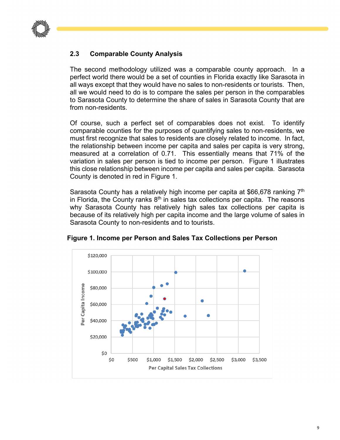

# **2.3 Comparable County Analysis**

The second methodology utilized was a comparable county approach. In a perfect world there would be a set of counties in Florida exactly like Sarasota in all ways except that they would have no sales to non-residents or tourists. Then, all we would need to do is to compare the sales per person in the comparables to Sarasota County to determine the share of sales in Sarasota County that are from non-residents.

Of course, such a perfect set of comparables does not exist. To identify comparable counties for the purposes of quantifying sales to non-residents, we must first recognize that sales to residents are closely related to income. In fact, the relationship between income per capita and sales per capita is very strong, measured at a correlation of 0.71. This essentially means that 71% of the variation in sales per person is tied to income per person. Figure 1 illustrates this close relationship between income per capita and sales per capita. Sarasota County is denoted in red in Figure 1.

Sarasota County has a relatively high income per capita at \$66,678 ranking 7<sup>th</sup> in Florida, the County ranks  $8<sup>th</sup>$  in sales tax collections per capita. The reasons why Sarasota County has relatively high sales tax collections per capita is because of its relatively high per capita income and the large volume of sales in Sarasota County to non-residents and to tourists.



**Figure 1. Income per Person and Sales Tax Collections per Person**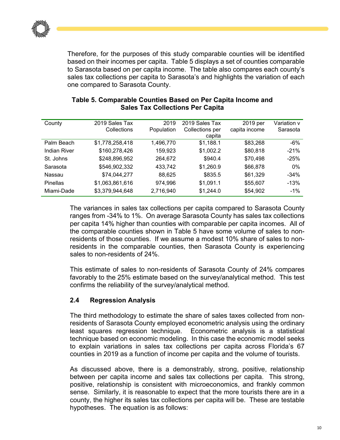

Therefore, for the purposes of this study comparable counties will be identified based on their incomes per capita. Table 5 displays a set of counties comparable to Sarasota based on per capita income. The table also compares each county's sales tax collections per capita to Sarasota's and highlights the variation of each one compared to Sarasota County.

| County              | 2019 Sales Tax  | 2019       | 2019 Sales Tax  | 2019 per      | Variation v |
|---------------------|-----------------|------------|-----------------|---------------|-------------|
|                     | Collections     | Population | Collections per | capita income | Sarasota    |
|                     |                 |            | capita          |               |             |
| Palm Beach          | \$1,778,258,418 | 1,496,770  | \$1,188.1       | \$83,268      | $-6%$       |
| <b>Indian River</b> | \$160,278,426   | 159,923    | \$1,002.2       | \$80,818      | $-21%$      |
| St. Johns           | \$248,896,952   | 264,672    | \$940.4         | \$70,498      | $-25%$      |
| Sarasota            | \$546,902,332   | 433,742    | \$1,260.9       | \$66,878      | 0%          |
| Nassau              | \$74,044,277    | 88,625     | \$835.5         | \$61,329      | $-34%$      |
| Pinellas            | \$1,063,861,616 | 974,996    | \$1,091.1       | \$55,607      | $-13%$      |
| Miami-Dade          | \$3,379,944,648 | 2,716,940  | \$1,244.0       | \$54,902      | $-1%$       |

#### **Table 5. Comparable Counties Based on Per Capita Income and Sales Tax Collections Per Capita**

The variances in sales tax collections per capita compared to Sarasota County ranges from -34% to 1%. On average Sarasota County has sales tax collections per capita 14% higher than counties with comparable per capita incomes. All of the comparable counties shown in Table 5 have some volume of sales to nonresidents of those counties. If we assume a modest 10% share of sales to nonresidents in the comparable counties, then Sarasota County is experiencing sales to non-residents of 24%.

This estimate of sales to non-residents of Sarasota County of 24% compares favorably to the 25% estimate based on the survey/analytical method. This test confirms the reliability of the survey/analytical method.

#### **2.4 Regression Analysis**

The third methodology to estimate the share of sales taxes collected from nonresidents of Sarasota County employed econometric analysis using the ordinary least squares regression technique. Econometric analysis is a statistical technique based on economic modeling. In this case the economic model seeks to explain variations in sales tax collections per capita across Florida's 67 counties in 2019 as a function of income per capita and the volume of tourists.

As discussed above, there is a demonstrably, strong, positive, relationship between per capita income and sales tax collections per capita. This strong, positive, relationship is consistent with microeconomics, and frankly common sense. Similarly, it is reasonable to expect that the more tourists there are in a county, the higher its sales tax collections per capita will be. These are testable hypotheses. The equation is as follows: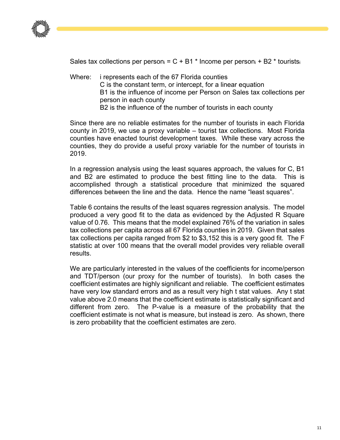

Sales tax collections per person<sub>i</sub> =  $C$  + B1  $*$  Income per person<sub>i</sub> + B2  $*$  tourists<sub>i</sub>

Where: i represents each of the 67 Florida counties C is the constant term, or intercept, for a linear equation B1 is the influence of income per Person on Sales tax collections per person in each county B2 is the influence of the number of tourists in each county

Since there are no reliable estimates for the number of tourists in each Florida county in 2019, we use a proxy variable – tourist tax collections. Most Florida counties have enacted tourist development taxes. While these vary across the counties, they do provide a useful proxy variable for the number of tourists in 2019.

In a regression analysis using the least squares approach, the values for C, B1 and B2 are estimated to produce the best fitting line to the data. This is accomplished through a statistical procedure that minimized the squared differences between the line and the data. Hence the name "least squares".

Table 6 contains the results of the least squares regression analysis. The model produced a very good fit to the data as evidenced by the Adjusted R Square value of 0.76. This means that the model explained 76% of the variation in sales tax collections per capita across all 67 Florida counties in 2019. Given that sales tax collections per capita ranged from \$2 to \$3,152 this is a very good fit. The F statistic at over 100 means that the overall model provides very reliable overall results.

We are particularly interested in the values of the coefficients for income/person and TDT/person (our proxy for the number of tourists). In both cases the coefficient estimates are highly significant and reliable. The coefficient estimates have very low standard errors and as a result very high t stat values. Any t stat value above 2.0 means that the coefficient estimate is statistically significant and different from zero. The P-value is a measure of the probability that the coefficient estimate is not what is measure, but instead is zero. As shown, there is zero probability that the coefficient estimates are zero.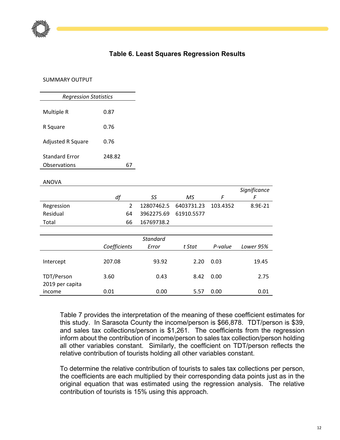

## **Table 6. Least Squares Regression Results**

#### SUMMARY OUTPUT

| Multiple R            | 0.87   |  |
|-----------------------|--------|--|
| R Square              | 0.76   |  |
| Adjusted R Square     | 0.76   |  |
| <b>Standard Error</b> | 248.82 |  |
| Observations          | 67     |  |
| <b>ANOVA</b>          |        |  |
|                       |        |  |

|                 | df            | SS              | MS         | F        | F         |
|-----------------|---------------|-----------------|------------|----------|-----------|
| Regression      | $\mathcal{L}$ | 12807462.5      | 6403731.23 | 103.4352 | 8.9E-21   |
| Residual        | 64            | 3962275.69      | 61910.5577 |          |           |
| Total           | 66            | 16769738.2      |            |          |           |
|                 |               |                 |            |          |           |
|                 |               | <b>Standard</b> |            |          |           |
|                 | Coefficients  | Error           | t Stat     | P-value  | Lower 95% |
|                 |               |                 |            |          |           |
| Intercept       | 207.08        | 93.92           | 2.20       | 0.03     | 19.45     |
|                 |               |                 |            |          |           |
| TDT/Person      | 3.60<br>0.43  |                 | 8.42       | 0.00     | 2.75      |
| 2019 per capita |               |                 |            |          |           |
| income          | 0.01          | 0.00            | 5.57       | 0.00     | 0.01      |

Table 7 provides the interpretation of the meaning of these coefficient estimates for this study. In Sarasota County the income/person is \$66,878. TDT/person is \$39, and sales tax collections/person is \$1,261. The coefficients from the regression inform about the contribution of income/person to sales tax collection/person holding all other variables constant. Similarly, the coefficient on TDT/person reflects the relative contribution of tourists holding all other variables constant.

*Significance* 

To determine the relative contribution of tourists to sales tax collections per person, the coefficients are each multiplied by their corresponding data points just as in the original equation that was estimated using the regression analysis. The relative contribution of tourists is 15% using this approach.